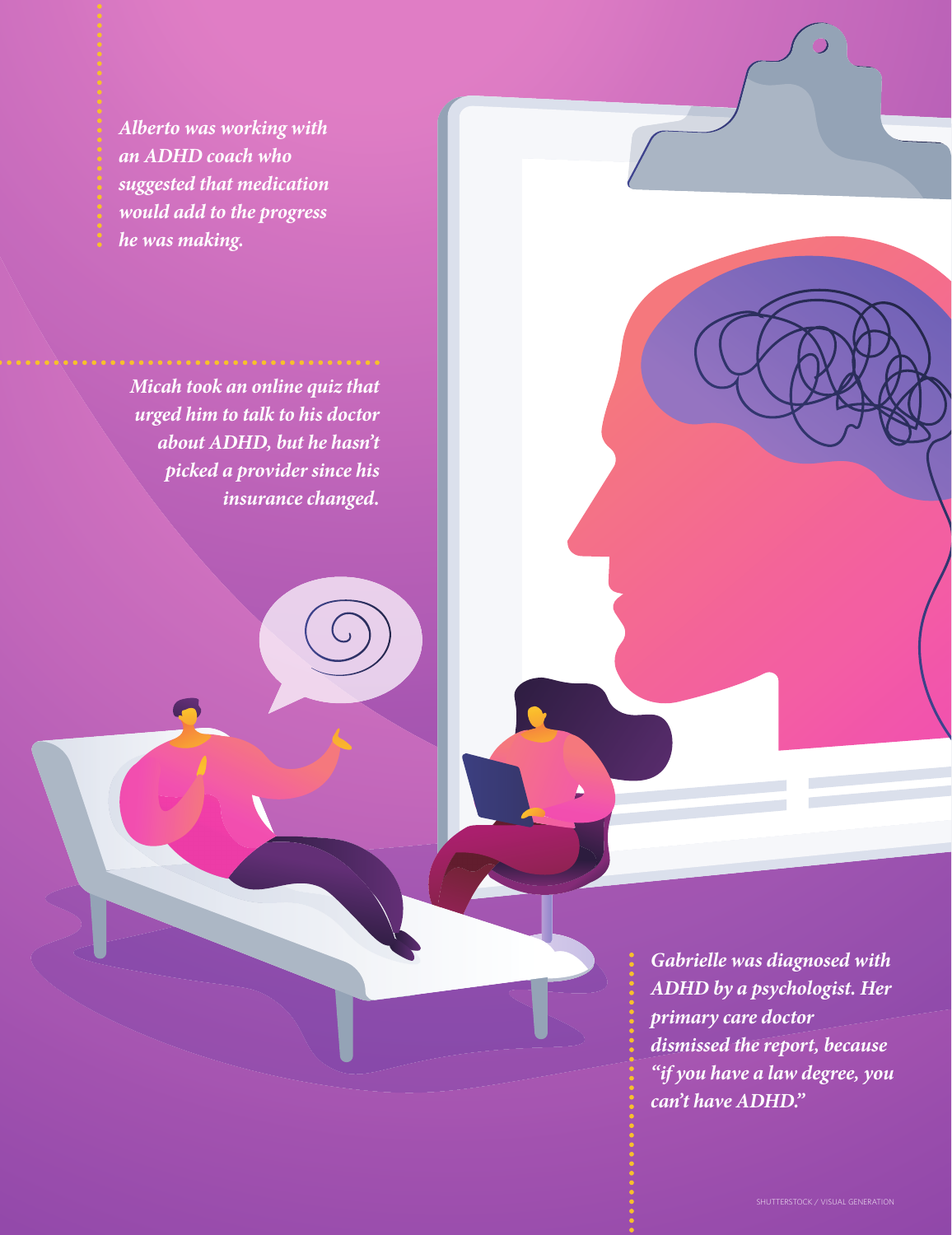*Alberto was working with an ADHD coach who suggested that medication would add to the progress he was making.* 

*Micah took an online quiz that urged him to talk to his doctor about ADHD, but he hasn't picked a provider since his insurance changed.* 

> *Gabrielle was diagnosed with ADHD by a psychologist. Her primary care doctor dismissed the report, because "if you have a law degree, you can't have ADHD."*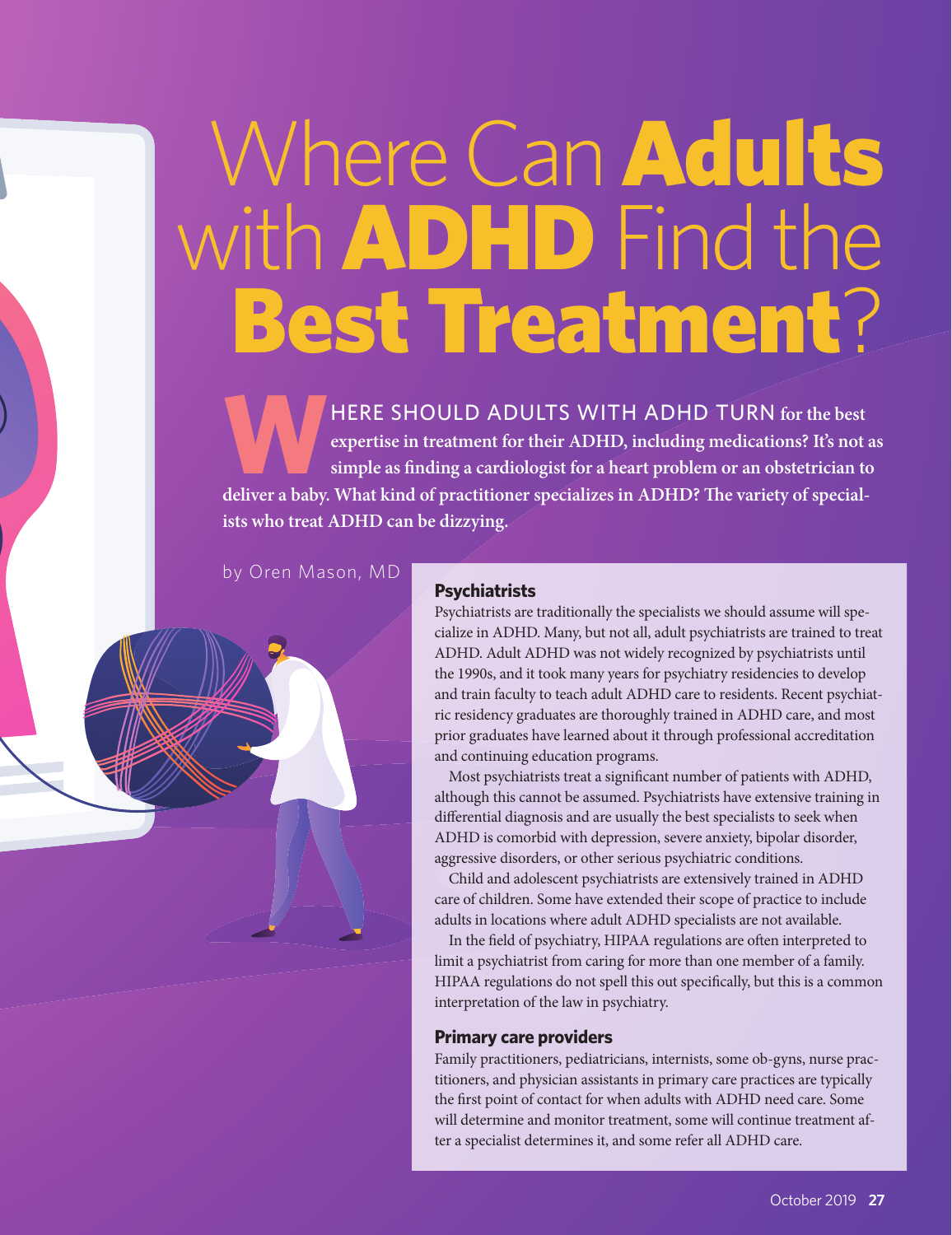# Where Can Adults with **ADHD** Find the Best Treatment?

**WERE SHOULD ADULTS WITH ADHD TURN for the best expertise in treatment for their ADHD, including medications? It's not a simple as finding a cardiologist for a heart problem or an obstetrician to expertise in treatment for their ADHD, including medications? It's not as**  simple as finding a cardiologist for a heart problem or an obstetrician to deliver a baby. What kind of practitioner specializes in ADHD? The variety of special**ists who treat ADHD can be dizzying.** 

by Oren Mason, MD

## **Psychiatrists**

Psychiatrists are traditionally the specialists we should assume will specialize in ADHD. Many, but not all, adult psychiatrists are trained to treat ADHD. Adult ADHD was not widely recognized by psychiatrists until the 1990s, and it took many years for psychiatry residencies to develop and train faculty to teach adult ADHD care to residents. Recent psychiatric residency graduates are thoroughly trained in ADHD care, and most prior graduates have learned about it through professional accreditation and continuing education programs.

Most psychiatrists treat a significant number of patients with ADHD, although this cannot be assumed. Psychiatrists have extensive training in differential diagnosis and are usually the best specialists to seek when ADHD is comorbid with depression, severe anxiety, bipolar disorder, aggressive disorders, or other serious psychiatric conditions.

Child and adolescent psychiatrists are extensively trained in ADHD care of children. Some have extended their scope of practice to include adults in locations where adult ADHD specialists are not available.

In the field of psychiatry, HIPAA regulations are often interpreted to limit a psychiatrist from caring for more than one member of a family. HIPAA regulations do not spell this out specifically, but this is a common interpretation of the law in psychiatry.

#### **Primary care providers**

Family practitioners, pediatricians, internists, some ob-gyns, nurse practitioners, and physician assistants in primary care practices are typically the first point of contact for when adults with ADHD need care. Some will determine and monitor treatment, some will continue treatment after a specialist determines it, and some refer all ADHD care.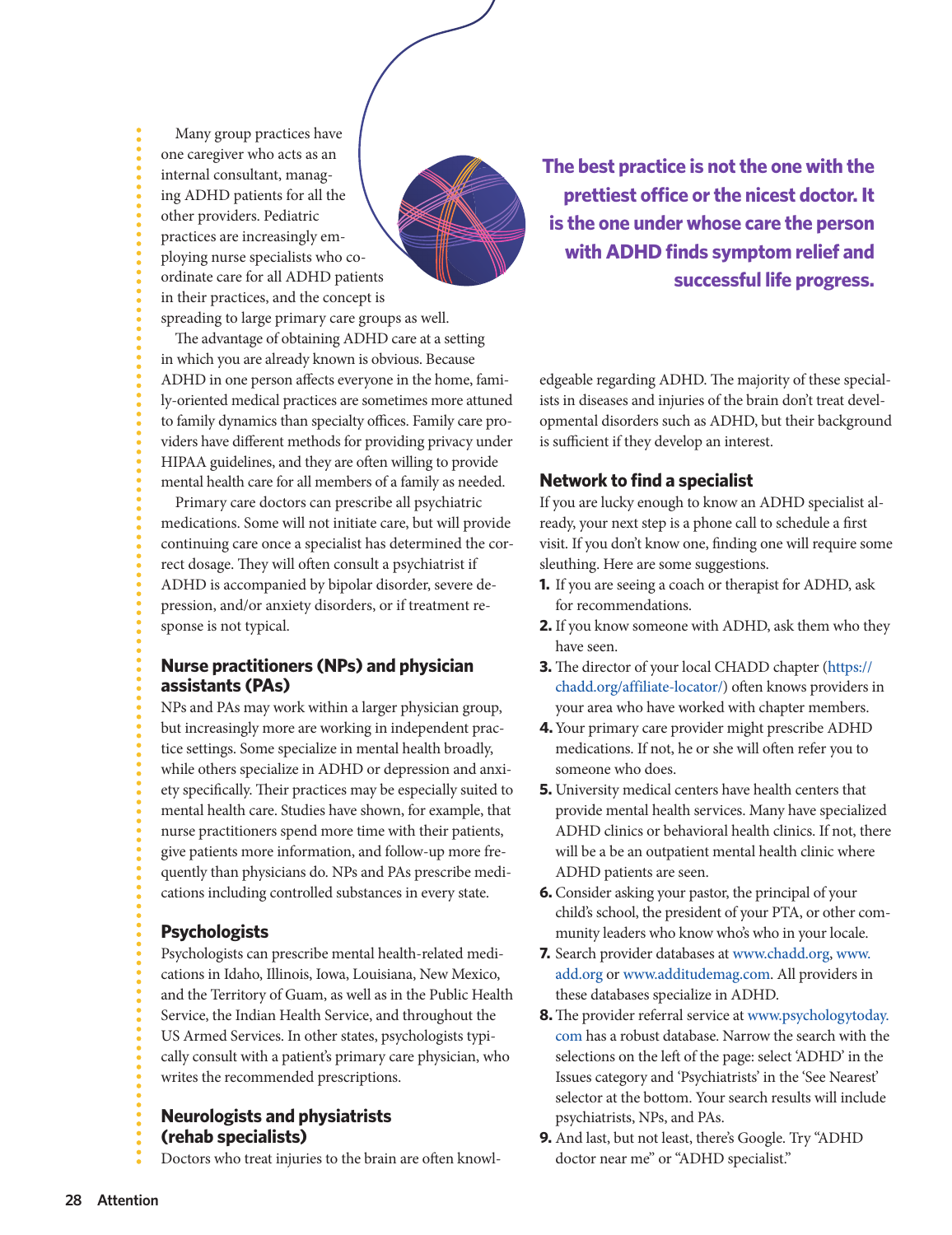Many group practices have one caregiver who acts as an internal consultant, managing ADHD patients for all the other providers. Pediatric practices are increasingly employing nurse specialists who coordinate care for all ADHD patients in their practices, and the concept is spreading to large primary care groups as well.

The advantage of obtaining ADHD care at a setting in which you are already known is obvious. Because ADHD in one person affects everyone in the home, family-oriented medical practices are sometimes more attuned to family dynamics than specialty offices. Family care providers have different methods for providing privacy under HIPAA guidelines, and they are often willing to provide mental health care for all members of a family as needed.

Primary care doctors can prescribe all psychiatric medications. Some will not initiate care, but will provide continuing care once a specialist has determined the correct dosage. They will often consult a psychiatrist if ADHD is accompanied by bipolar disorder, severe depression, and/or anxiety disorders, or if treatment response is not typical.

## **Nurse practitioners (NPs) and physician assistants (PAs)**

NPs and PAs may work within a larger physician group, but increasingly more are working in independent practice settings. Some specialize in mental health broadly, while others specialize in ADHD or depression and anxiety specifically. Their practices may be especially suited to mental health care. Studies have shown, for example, that nurse practitioners spend more time with their patients, give patients more information, and follow-up more frequently than physicians do. NPs and PAs prescribe medications including controlled substances in every state.

## **Psychologists**

Psychologists can prescribe mental health-related medications in Idaho, Illinois, Iowa, Louisiana, New Mexico, and the Territory of Guam, as well as in the Public Health Service, the Indian Health Service, and throughout the US Armed Services. In other states, psychologists typically consult with a patient's primary care physician, who writes the recommended prescriptions.

**Neurologists and physiatrists (rehab specialists)**

Doctors who treat injuries to the brain are often knowl-

**The best practice is not the one with the prettiest office or the nicest doctor. It is the one under whose care the person with ADHD finds symptom relief and successful life progress.**

edgeable regarding ADHD. The majority of these specialists in diseases and injuries of the brain don't treat developmental disorders such as ADHD, but their background is sufficient if they develop an interest.

#### **Network to find a specialist**

If you are lucky enough to know an ADHD specialist already, your next step is a phone call to schedule a first visit. If you don't know one, finding one will require some sleuthing. Here are some suggestions.

- **1.** If you are seeing a coach or therapist for ADHD, ask for recommendations.
- **2.** If you know someone with ADHD, ask them who they have seen.
- **3.** The director of your local CHADD chapter (https:// chadd.org/affiliate-locator/) often knows providers in your area who have worked with chapter members.
- **4.** Your primary care provider might prescribe ADHD medications. If not, he or she will often refer you to someone who does.
- **5.** University medical centers have health centers that provide mental health services. Many have specialized ADHD clinics or behavioral health clinics. If not, there will be a be an outpatient mental health clinic where ADHD patients are seen.
- **6.** Consider asking your pastor, the principal of your child's school, the president of your PTA, or other community leaders who know who's who in your locale.
- **7.** Search provider databases at www.chadd.org, www. add.org or www.additudemag.com. All providers in these databases specialize in ADHD.
- **8.** The provider referral service at www.psychologytoday. com has a robust database. Narrow the search with the selections on the left of the page: select 'ADHD' in the Issues category and 'Psychiatrists' in the 'See Nearest' selector at the bottom. Your search results will include psychiatrists, NPs, and PAs.
- **9.** And last, but not least, there's Google. Try "ADHD doctor near me" or "ADHD specialist."